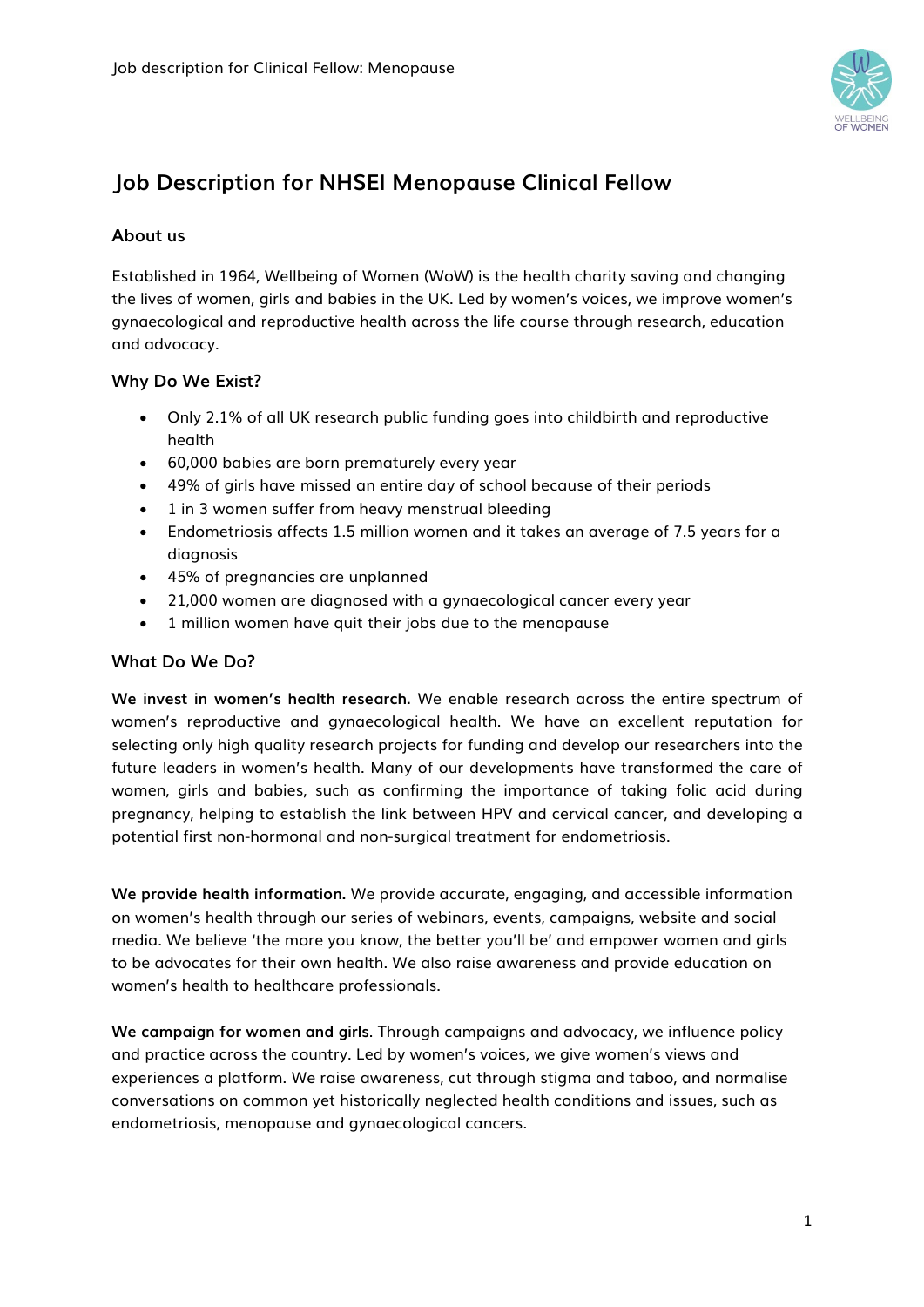

# **Job Description for NHSEI Menopause Clinical Fellow**

# **About us**

Established in 1964, Wellbeing of Women (WoW) is the health charity saving and changing the lives of women, girls and babies in the UK. Led by women's voices, we improve women's gynaecological and reproductive health across the life course through research, education and advocacy.

# **Why Do We Exist?**

- Only 2.1% of all UK research public funding goes into childbirth and reproductive health
- 60,000 babies are born prematurely every year
- 49% of girls have missed an entire day of school because of their periods
- 1 in 3 women suffer from heavy menstrual bleeding
- Endometriosis affects 1.5 million women and it takes an average of 7.5 years for a diagnosis
- 45% of pregnancies are unplanned
- 21,000 women are diagnosed with a gynaecological cancer every year
- 1 million women have quit their jobs due to the menopause

### **What Do We Do?**

**We invest in women's health research.** We enable research across the entire spectrum of women's reproductive and gynaecological health. We have an excellent reputation for selecting only high quality research projects for funding and develop our researchers into the future leaders in women's health. Many of our developments have transformed the care of women, girls and babies, such as confirming the importance of taking folic acid during pregnancy, helping to establish the link between HPV and cervical cancer, and developing a potential first non-hormonal and non-surgical treatment for endometriosis.

**We provide health information.** We provide accurate, engaging, and accessible information on women's health through our series of webinars, events, campaigns, website and social media. We believe 'the more you know, the better you'll be' and empower women and girls to be advocates for their own health. We also raise awareness and provide education on women's health to healthcare professionals.

**We campaign for women and girls**. Through campaigns and advocacy, we influence policy and practice across the country. Led by women's voices, we give women's views and experiences a platform. We raise awareness, cut through stigma and taboo, and normalise conversations on common yet historically neglected health conditions and issues, such as endometriosis, menopause and gynaecological cancers.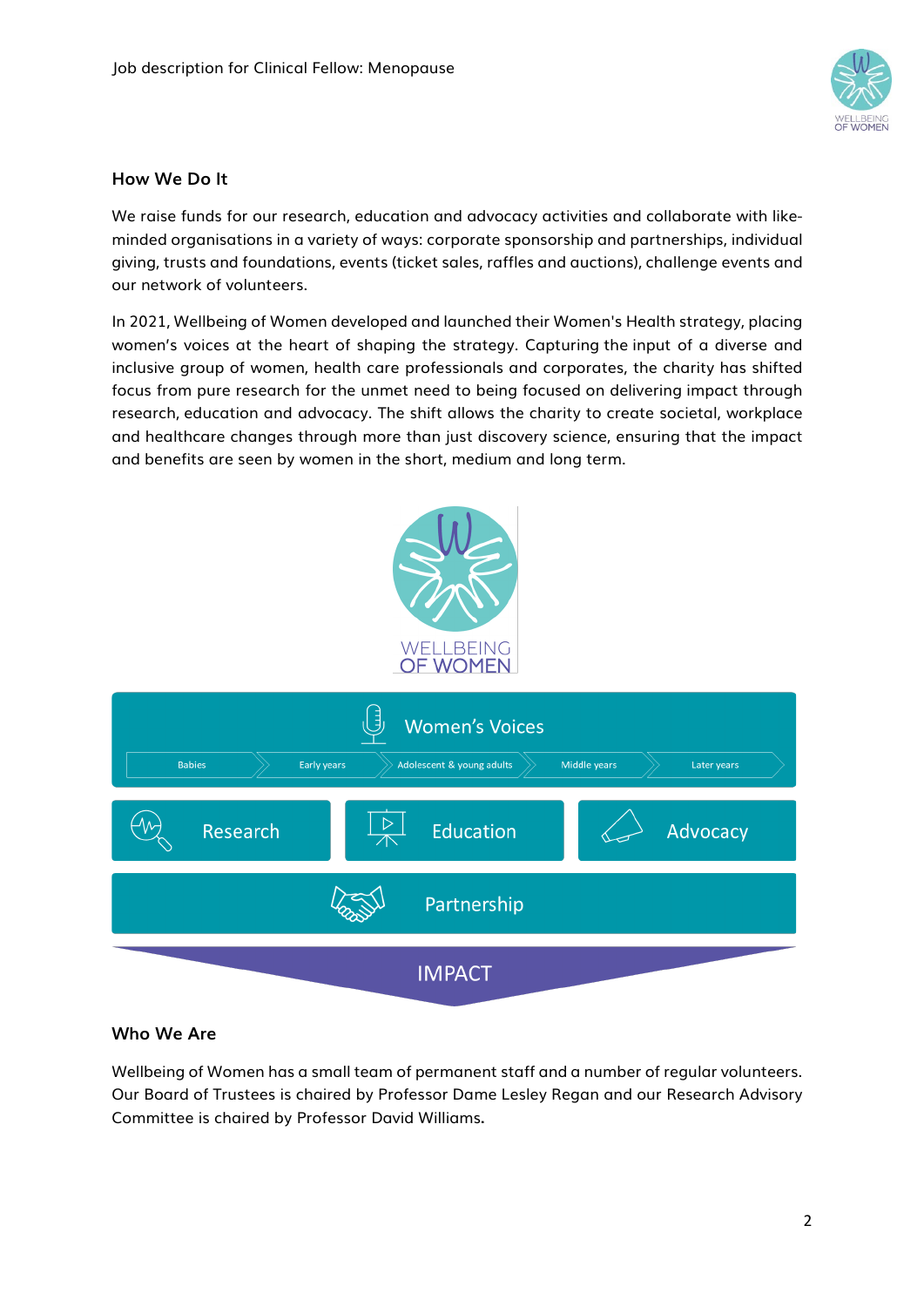

# **How We Do It**

We raise funds for our research, education and advocacy activities and collaborate with likeminded organisations in a variety of ways: corporate sponsorship and partnerships, individual giving, trusts and foundations, events (ticket sales, raffles and auctions), challenge events and our network of volunteers.

In 2021, Wellbeing of Women developed and launched their Women's Health strategy, placing women's voices at the heart of shaping the strategy. Capturing the input of a diverse and inclusive group of women, health care professionals and corporates, the charity has shifted focus from pure research for the unmet need to being focused on delivering impact through research, education and advocacy. The shift allows the charity to create societal, workplace and healthcare changes through more than just discovery science, ensuring that the impact and benefits are seen by women in the short, medium and long term.



# **Who We Are**

Wellbeing of Women has a small team of permanent staff and a number of regular volunteers. Our Board of Trustees is chaired by Professor Dame Lesley Regan and our Research Advisory Committee is chaired by Professor David Williams**.**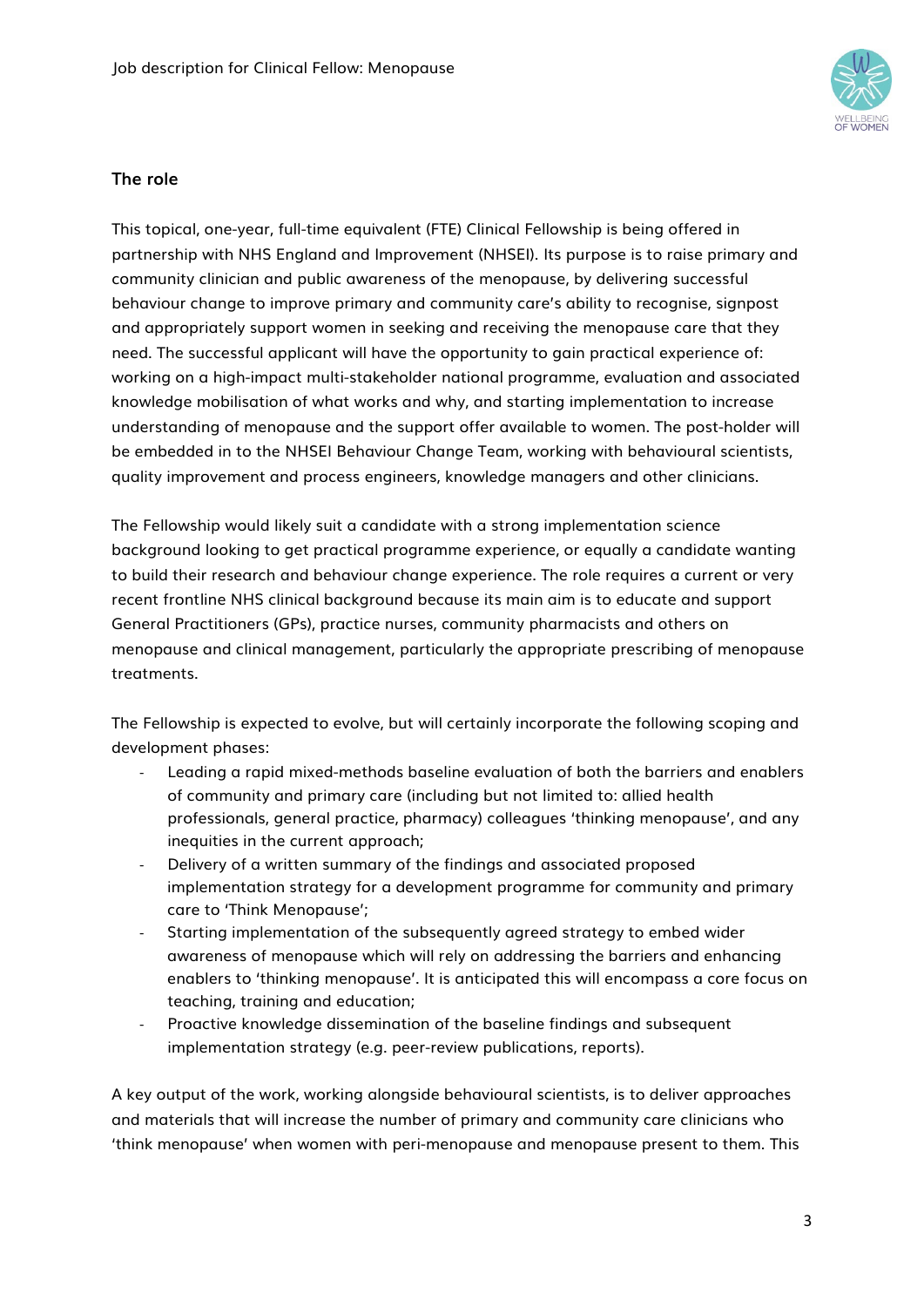

#### **The role**

This topical, one-year, full-time equivalent (FTE) Clinical Fellowship is being offered in partnership with NHS England and Improvement (NHSEI). Its purpose is to raise primary and community clinician and public awareness of the menopause, by delivering successful behaviour change to improve primary and community care's ability to recognise, signpost and appropriately support women in seeking and receiving the menopause care that they need. The successful applicant will have the opportunity to gain practical experience of: working on a high-impact multi-stakeholder national programme, evaluation and associated knowledge mobilisation of what works and why, and starting implementation to increase understanding of menopause and the support offer available to women. The post-holder will be embedded in to the NHSEI Behaviour Change Team, working with behavioural scientists, quality improvement and process engineers, knowledge managers and other clinicians.

The Fellowship would likely suit a candidate with a strong implementation science background looking to get practical programme experience, or equally a candidate wanting to build their research and behaviour change experience. The role requires a current or very recent frontline NHS clinical background because its main aim is to educate and support General Practitioners (GPs), practice nurses, community pharmacists and others on menopause and clinical management, particularly the appropriate prescribing of menopause treatments.

The Fellowship is expected to evolve, but will certainly incorporate the following scoping and development phases:

- Leading a rapid mixed-methods baseline evaluation of both the barriers and enablers of community and primary care (including but not limited to: allied health professionals, general practice, pharmacy) colleagues 'thinking menopause', and any inequities in the current approach;
- Delivery of a written summary of the findings and associated proposed implementation strategy for a development programme for community and primary care to 'Think Menopause';
- Starting implementation of the subsequently agreed strategy to embed wider awareness of menopause which will rely on addressing the barriers and enhancing enablers to 'thinking menopause'. It is anticipated this will encompass a core focus on teaching, training and education;
- Proactive knowledge dissemination of the baseline findings and subsequent implementation strategy (e.g. peer-review publications, reports).

A key output of the work, working alongside behavioural scientists, is to deliver approaches and materials that will increase the number of primary and community care clinicians who 'think menopause' when women with peri-menopause and menopause present to them. This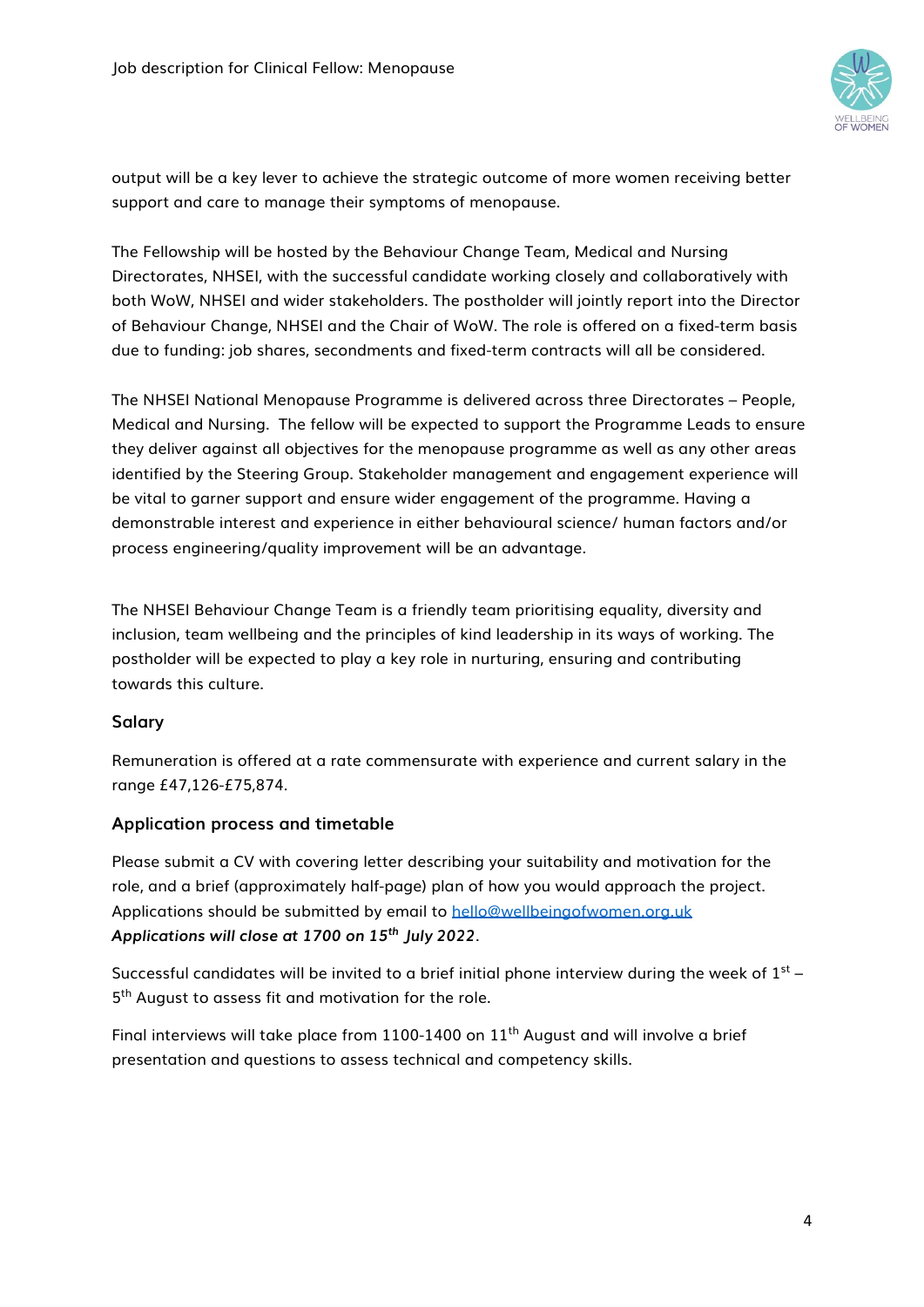

output will be a key lever to achieve the strategic outcome of more women receiving better support and care to manage their symptoms of menopause.

The Fellowship will be hosted by the Behaviour Change Team, Medical and Nursing Directorates, NHSEI, with the successful candidate working closely and collaboratively with both WoW, NHSEI and wider stakeholders. The postholder will jointly report into the Director of Behaviour Change, NHSEI and the Chair of WoW. The role is offered on a fixed-term basis due to funding: job shares, secondments and fixed-term contracts will all be considered.

The NHSEI National Menopause Programme is delivered across three Directorates – People, Medical and Nursing. The fellow will be expected to support the Programme Leads to ensure they deliver against all objectives for the menopause programme as well as any other areas identified by the Steering Group. Stakeholder management and engagement experience will be vital to garner support and ensure wider engagement of the programme. Having a demonstrable interest and experience in either behavioural science/ human factors and/or process engineering/quality improvement will be an advantage.

The NHSEI Behaviour Change Team is a friendly team prioritising equality, diversity and inclusion, team wellbeing and the principles of kind leadership in its ways of working. The postholder will be expected to play a key role in nurturing, ensuring and contributing towards this culture.

# **Salary**

Remuneration is offered at a rate commensurate with experience and current salary in the range £47,126-£75,874.

# **Application process and timetable**

Please submit a CV with covering letter describing your suitability and motivation for the role, and a brief (approximately half-page) plan of how you would approach the project. Applications should be submitted by email to [hello@wellbeingofwomen.org.uk](mailto:hello@wellbeingofwomen.org.uk) *Applications will close at 1700 on 15th July 2022*.

Successful candidates will be invited to a brief initial phone interview during the week of  $1<sup>st</sup>$  – 5<sup>th</sup> August to assess fit and motivation for the role.

Final interviews will take place from  $1100-1400$  on  $11<sup>th</sup>$  August and will involve a brief presentation and questions to assess technical and competency skills.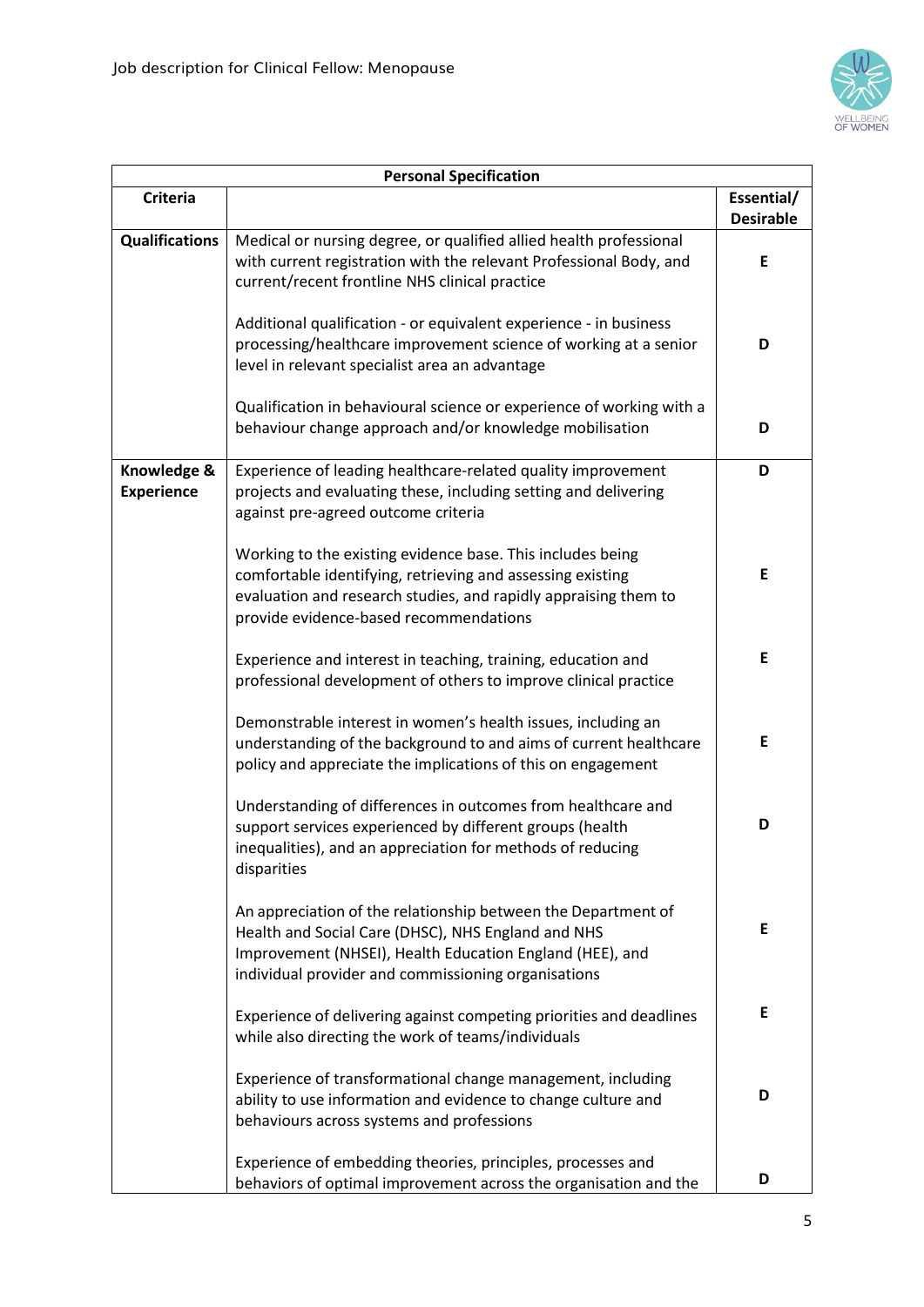

| <b>Personal Specification</b>    |                                                                                                                                                                                                                                        |                                |  |
|----------------------------------|----------------------------------------------------------------------------------------------------------------------------------------------------------------------------------------------------------------------------------------|--------------------------------|--|
| <b>Criteria</b>                  |                                                                                                                                                                                                                                        | Essential/<br><b>Desirable</b> |  |
| <b>Qualifications</b>            | Medical or nursing degree, or qualified allied health professional<br>with current registration with the relevant Professional Body, and<br>current/recent frontline NHS clinical practice                                             | E                              |  |
|                                  | Additional qualification - or equivalent experience - in business<br>processing/healthcare improvement science of working at a senior<br>level in relevant specialist area an advantage                                                | D                              |  |
|                                  | Qualification in behavioural science or experience of working with a<br>behaviour change approach and/or knowledge mobilisation                                                                                                        | D                              |  |
| Knowledge &<br><b>Experience</b> | Experience of leading healthcare-related quality improvement<br>projects and evaluating these, including setting and delivering<br>against pre-agreed outcome criteria                                                                 | D                              |  |
|                                  | Working to the existing evidence base. This includes being<br>comfortable identifying, retrieving and assessing existing<br>evaluation and research studies, and rapidly appraising them to<br>provide evidence-based recommendations  | E                              |  |
|                                  | Experience and interest in teaching, training, education and<br>professional development of others to improve clinical practice                                                                                                        | E                              |  |
|                                  | Demonstrable interest in women's health issues, including an<br>understanding of the background to and aims of current healthcare<br>policy and appreciate the implications of this on engagement                                      | E                              |  |
|                                  | Understanding of differences in outcomes from healthcare and<br>support services experienced by different groups (health<br>inequalities), and an appreciation for methods of reducing<br>disparities                                  | D                              |  |
|                                  | An appreciation of the relationship between the Department of<br>Health and Social Care (DHSC), NHS England and NHS<br>Improvement (NHSEI), Health Education England (HEE), and<br>individual provider and commissioning organisations | E                              |  |
|                                  | Experience of delivering against competing priorities and deadlines<br>while also directing the work of teams/individuals                                                                                                              | E                              |  |
|                                  | Experience of transformational change management, including<br>ability to use information and evidence to change culture and<br>behaviours across systems and professions                                                              | D                              |  |
|                                  | Experience of embedding theories, principles, processes and<br>behaviors of optimal improvement across the organisation and the                                                                                                        | D                              |  |